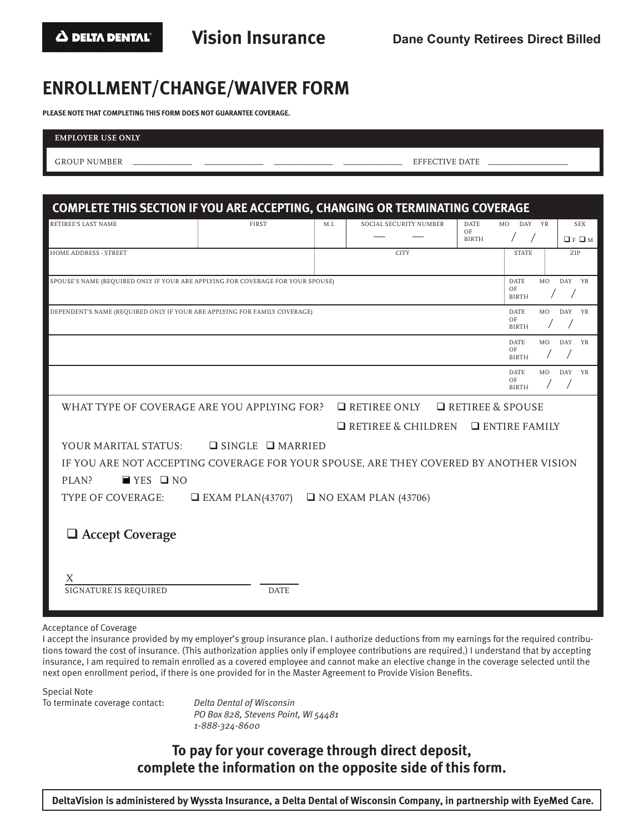## **ENROLLMENT/CHANGE/WAIVER FORM**

**PLEASE NOTE THAT COMPLETING THIS FORM DOES NOT GUARANTEE COVERAGE.** 

| <b>EMPLOYER USE ONLY</b> |                |
|--------------------------|----------------|
| <b>GROUP NUMBER</b>      | EFFECTIVE DATE |

| RETIREE'S LAST NAME                                                                   | <b>FIRST</b>                                        | M.I. | SOCIAL SECURITY NUMBER                         | <b>DATE</b>        | <b>MO</b><br>DAY YR                           |           |            | <b>SEX</b>  |
|---------------------------------------------------------------------------------------|-----------------------------------------------------|------|------------------------------------------------|--------------------|-----------------------------------------------|-----------|------------|-------------|
|                                                                                       |                                                     |      |                                                | OF<br><b>BIRTH</b> | $\left  \begin{array}{c} \end{array} \right $ |           |            | $P$ F $P$ M |
| <b>HOME ADDRESS - STREET</b>                                                          |                                                     |      | <b>CITY</b>                                    |                    | <b>STATE</b>                                  |           | ZIP        |             |
| SPOUSE'S NAME (REQUIRED ONLY IF YOUR ARE APPLYING FOR COVERAGE FOR YOUR SPOUSE)       |                                                     |      |                                                |                    | <b>DATE</b><br>OF<br><b>BIRTH</b>             | <b>MO</b> | DAY YR     |             |
| DEPENDENT'S NAME (REQUIRED ONLY IF YOUR ARE APPLYING FOR FAMILY COVERAGE)             |                                                     |      |                                                |                    | <b>DATE</b><br>OF<br><b>BIRTH</b>             | MO        | DAY YR     |             |
|                                                                                       |                                                     |      |                                                |                    | DATE.<br>OF<br><b>BIRTH</b>                   | <b>MO</b> | <b>DAY</b> | YR          |
|                                                                                       |                                                     |      |                                                |                    | <b>DATE</b><br>OF<br><b>BIRTH</b>             | <b>MO</b> | DAY YR     |             |
| WHAT TYPE OF COVERAGE ARE YOU APPLYING FOR?                                           |                                                     |      | $\Box$ RETIREE ONLY                            |                    | RETIREE & SPOUSE                              |           |            |             |
|                                                                                       |                                                     |      | $\Box$ RETIREE & CHILDREN $\Box$ ENTIRE FAMILY |                    |                                               |           |            |             |
| YOUR MARITAL STATUS:                                                                  | $\Box$ SINGLE $\Box$ MARRIED                        |      |                                                |                    |                                               |           |            |             |
| IF YOU ARE NOT ACCEPTING COVERAGE FOR YOUR SPOUSE, ARE THEY COVERED BY ANOTHER VISION |                                                     |      |                                                |                    |                                               |           |            |             |
| $\blacksquare$ YES $\Box$ NO<br>$PIAN$ ?                                              |                                                     |      |                                                |                    |                                               |           |            |             |
| TYPE OF COVERAGE:                                                                     | $\Box$ EXAM PLAN(43707) $\Box$ NO EXAM PLAN (43706) |      |                                                |                    |                                               |           |            |             |
| $\Box$ Accept Coverage                                                                |                                                     |      |                                                |                    |                                               |           |            |             |
| X<br>SIGNATURE IS REQUIRED                                                            | <b>DATE</b>                                         |      |                                                |                    |                                               |           |            |             |

Acceptance of Coverage

I accept the insurance provided by my employer's group insurance plan. I authorize deductions from my earnings for the required contributions toward the cost of insurance. (This authorization applies only if employee contributions are required.) I understand that by accepting insurance, I am required to remain enrolled as a covered employee and cannot make an elective change in the coverage selected until the next open enrollment period, if there is one provided for in the Master Agreement to Provide Vision Benefits.

Special Note

To terminate coverage contact: *Delta Dental of Wisconsin*

*PO Box 828, Stevens Point, WI 54481 1-888-324-8600*

**To pay for your coverage through direct deposit, complete the information on the opposite side of this form.**

 **DeltaVision is administered by Wyssta Insurance, a Delta Dental of Wisconsin Company, in partnership with EyeMed Care.**